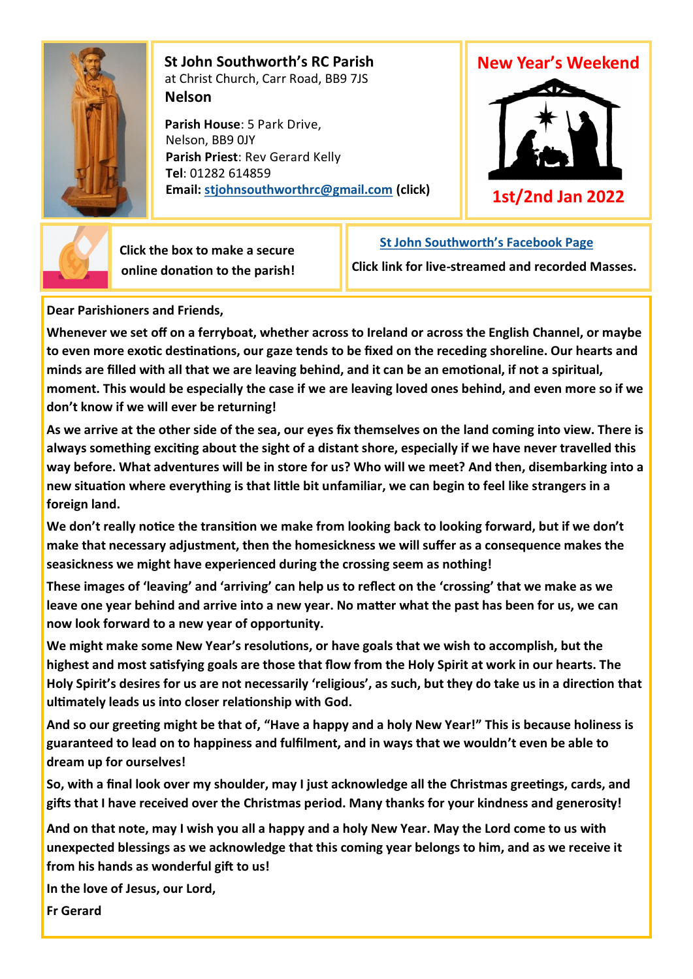

 **St John Southworth's RC Parish** at Christ Church, Carr Road, BB9 7JS **Nelson**

 **Parish House**: 5 Park Drive, Nelson, BB9 0JY **Parish Priest**: Rev Gerard Kelly **Tel**: 01282 614859 **Email: [stjohnsouthworthrc@gmail.com](mailto:stjohnsouthworth@gmail.com) (click)**





 **Click the box to make a secure online donation to the parish!** **[St John Southworth's Facebook Page](https://www.facebook.com/Parish-of-St-John-Southworth-in-Nelson-105718084323986)**

**Click link for live-streamed and recorded Masses.**

**Dear Parishioners and Friends,**

**Whenever we set off on a ferryboat, whether across to Ireland or across the English Channel, or maybe to even more exotic destinations, our gaze tends to be fixed on the receding shoreline. Our hearts and minds are filled with all that we are leaving behind, and it can be an emotional, if not a spiritual, moment. This would be especially the case if we are leaving loved ones behind, and even more so if we don't know if we will ever be returning!**

**As we arrive at the other side of the sea, our eyes fix themselves on the land coming into view. There is always something exciting about the sight of a distant shore, especially if we have never travelled this way before. What adventures will be in store for us? Who will we meet? And then, disembarking into a new situation where everything is that little bit unfamiliar, we can begin to feel like strangers in a foreign land.**

**We don't really notice the transition we make from looking back to looking forward, but if we don't make that necessary adjustment, then the homesickness we will suffer as a consequence makes the seasickness we might have experienced during the crossing seem as nothing!**

**These images of 'leaving' and 'arriving' can help us to reflect on the 'crossing' that we make as we leave one year behind and arrive into a new year. No matter what the past has been for us, we can now look forward to a new year of opportunity.** 

**We might make some New Year's resolutions, or have goals that we wish to accomplish, but the highest and most satisfying goals are those that flow from the Holy Spirit at work in our hearts. The Holy Spirit's desires for us are not necessarily 'religious', as such, but they do take us in a direction that ultimately leads us into closer relationship with God.**

**And so our greeting might be that of, "Have a happy and a holy New Year!" This is because holiness is guaranteed to lead on to happiness and fulfilment, and in ways that we wouldn't even be able to dream up for ourselves!**

**So, with a final look over my shoulder, may I just acknowledge all the Christmas greetings, cards, and gifts that I have received over the Christmas period. Many thanks for your kindness and generosity!** 

**And on that note, may I wish you all a happy and a holy New Year. May the Lord come to us with unexpected blessings as we acknowledge that this coming year belongs to him, and as we receive it from his hands as wonderful gift to us!**

**In the love of Jesus, our Lord,**

**Fr Gerard**